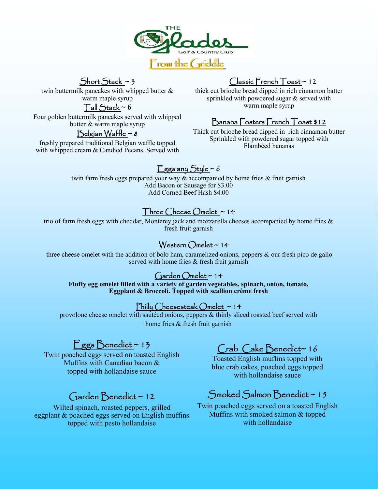

Short Stack ~ 3

twin buttermilk pancakes with whipped butter & warm maple syrup

### $T$ all Stack ~ 6

Four golden buttermilk pancakes served with whipped butter & warm maple syrup

### Belgian Waffle  $\sim$  8

freshly prepared traditional Belgian waffle topped with whipped cream & Candied Pecans. Served with

## $\bigcap$ assic French  $\bigcap$ oast ~ 12

thick cut brioche bread dipped in rich cinnamon batter sprinkled with powdered sugar & served with warm maple syrup

## Banana Fosters French Toast \$12

Thick cut brioche bread dipped in rich cinnamon butter Sprinkled with powdered sugar topped with Flambéed bananas

# Eggs any Style  $\sim$  6

twin farm fresh eggs prepared your way & accompanied by home fries & fruit garnish Add Bacon or Sausage for \$3.00 Add Corned Beef Hash \$4.00

## Three Cheese Omelet ~ 14

trio of farm fresh eggs with cheddar, Monterey jack and mozzarella cheeses accompanied by home fries & fresh fruit garnish

### Western Omelet ~ 14

three cheese omelet with the addition of bolo ham, caramelized onions, peppers & our fresh pico de gallo served with home fries & fresh fruit garnish

### Garden  $O$ melet ~ 14

**Fluffy egg omelet filled with a variety of garden vegetables, spinach, onion, tomato, Eggplant & Broccoli. Topped with scallion crème fresh**

#### Philly Cheesesteak Omelet ~ 14

provolone cheese omelet with sautéed onions, peppers & thinly sliced roasted beef served with home fries & fresh fruit garnish

# Eggs Benedict~13

Twin poached eggs served on toasted English Muffins with Canadian bacon & topped with hollandaise sauce

# Garden Benedict ~ 12

Wilted spinach, roasted peppers, grilled eggplant & poached eggs served on English muffins topped with pesto hollandaise

# Crab Cake Benedict~ 16

Toasted English muffins topped with blue crab cakes, poached eggs topped with hollandaise sauce

# Smoked Salmon Benedict ~ 15

Twin poached eggs served on a toasted English Muffins with smoked salmon & topped with hollandaise